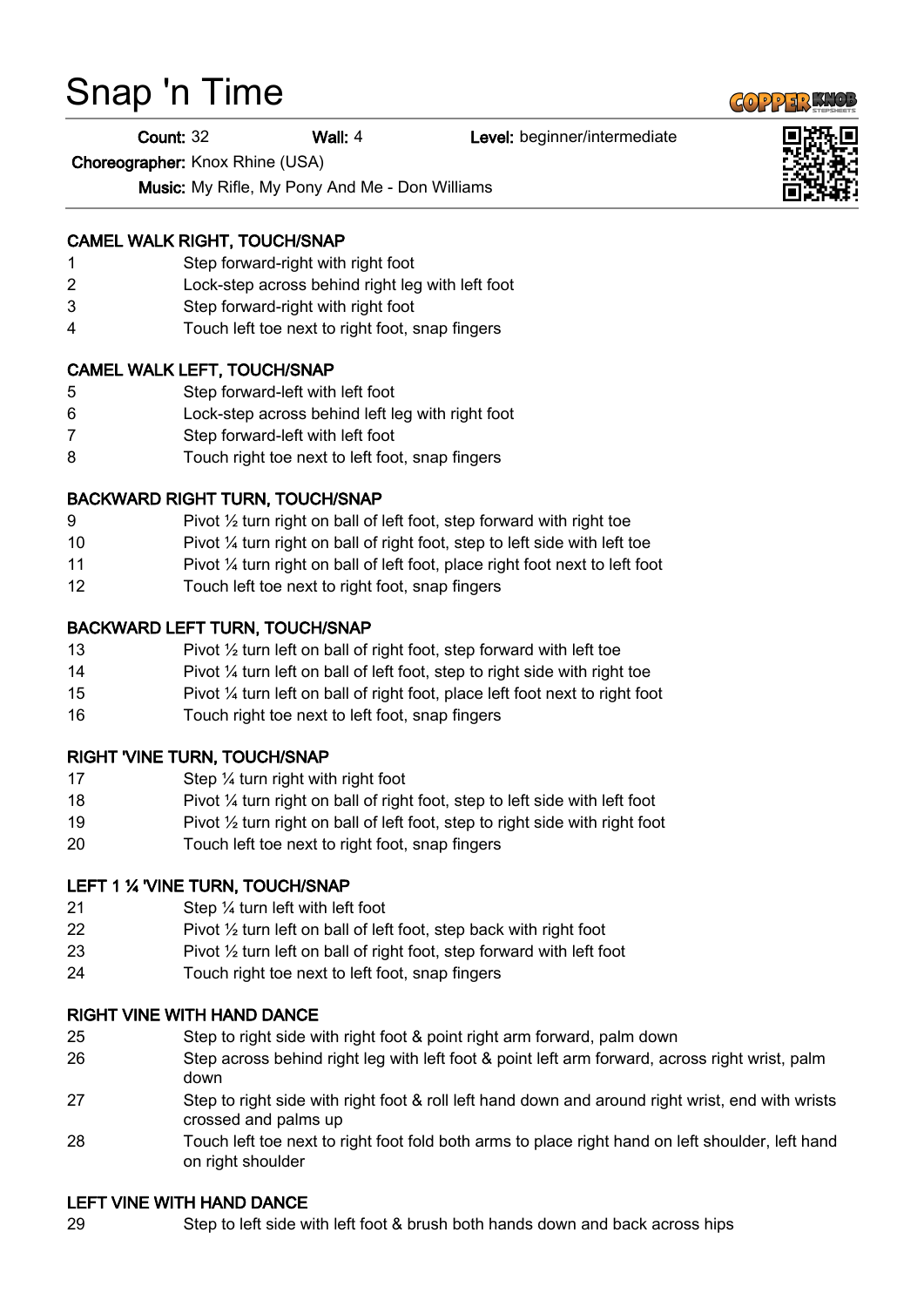# Snap 'n Time

Count: 32 Wall: 4 Level: beginner/intermediate

Choreographer: Knox Rhine (USA)

Music: My Rifle, My Pony And Me - Don Williams

## CAMEL WALK RIGHT, TOUCH/SNAP

- 1 Step forward-right with right foot
- 2 Lock-step across behind right leg with left foot
- 3 Step forward-right with right foot
- 4 Touch left toe next to right foot, snap fingers

## CAMEL WALK LEFT, TOUCH/SNAP

- 5 Step forward-left with left foot
- 6 Lock-step across behind left leg with right foot
- 7 Step forward-left with left foot
- 8 Touch right toe next to left foot, snap fingers

## BACKWARD RIGHT TURN, TOUCH/SNAP

- 9 Pivot  $\frac{1}{2}$  turn right on ball of left foot, step forward with right toe
- 10 Pivot ¼ turn right on ball of right foot, step to left side with left toe
- 11 Pivot ¼ turn right on ball of left foot, place right foot next to left foot
- 12 Touch left toe next to right foot, snap fingers

## BACKWARD LEFT TURN, TOUCH/SNAP

- 13 Pivot 1/2 turn left on ball of right foot, step forward with left toe
- 14 Pivot 1/4 turn left on ball of left foot, step to right side with right toe
- 15 Pivot ¼ turn left on ball of right foot, place left foot next to right foot
- 16 Touch right toe next to left foot, snap fingers

## RIGHT 'VINE TURN, TOUCH/SNAP

- 17 Step 1/4 turn right with right foot
- 18 Pivot ¼ turn right on ball of right foot, step to left side with left foot
- 19 Pivot ½ turn right on ball of left foot, step to right side with right foot
- 20 Touch left toe next to right foot, snap fingers

## LEFT 1 % 'VINE TURN, TOUCH/SNAP

- 21 Step ¼ turn left with left foot
- 22 Pivot  $\frac{1}{2}$  turn left on ball of left foot, step back with right foot
- 23 Pivot ½ turn left on ball of right foot, step forward with left foot
- 24 Touch right toe next to left foot, snap fingers

## RIGHT VINE WITH HAND DANCE

- 25 Step to right side with right foot & point right arm forward, palm down
- 26 Step across behind right leg with left foot & point left arm forward, across right wrist, palm down
- 27 Step to right side with right foot & roll left hand down and around right wrist, end with wrists crossed and palms up
- 28 Touch left toe next to right foot fold both arms to place right hand on left shoulder, left hand on right shoulder

## LEFT VINE WITH HAND DANCE

29 Step to left side with left foot & brush both hands down and back across hips